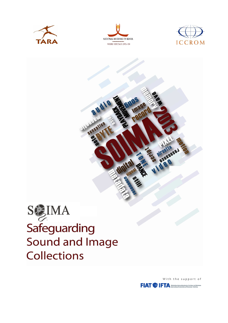



sensation





With the support of **FIAT <sup>S</sup>IFTA** Reservices intermalizable des Archives de Kleinkin

BOUGHOSS!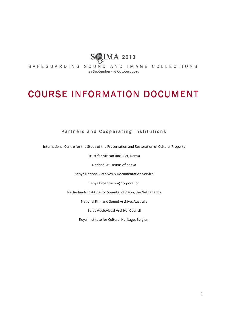

S A F E G U A R D I N G S O U N D A N D I M A G E C O L L E C T I O N S 23 September - 16 October, 2013

# **COURSE INFORMATION DOCUMENT**

# Partners and Cooperating Institutions

International Centre for the Study of the Preservation and Restoration of Cultural Property

Trust for African Rock Art, Kenya

National Museums of Kenya

Kenya National Archives & Documentation Service

Kenya Broadcasting Corporation

Netherlands Institute for Sound and Vision, the Netherlands

National Film and Sound Archive, Australia

Baltic Audiovisual Archival Council

Royal Institute for Cultural Heritage, Belgium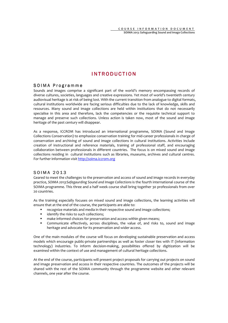# **INTRODUCTION**

#### SOIMA Programme

Sounds and images comprise a significant part of the world's memory encompassing records of diverse cultures, societies, languages and creative expressions. Yet most of world's twentieth century audiovisual heritage is at risk of being lost. With the current transition from analogue to digital formats, cultural institutions worldwide are facing serious difficulties due to the lack of knowledge, skills and resources. Many sound and image collections are held within institutions that do not necessarily specialise in this area and therefore, lack the competencies or the requisite technical support to manage and preserve such collections. Unless action is taken now, most of the sound and image heritage of the past century will disappear.

As a response, ICCROM has introduced an international programme, SOIMA (Sound and Image Collections Conservation) to emphasize conservation training for mid-career professionals in charge of conservation and archiving of sound and image collections in cultural institutions. Activities include creation of instructional and reference materials, training of professional staff, and encouraging collaboration between professionals in different countries. The focus is on mixed sound and image collections residing in cultural institutions such as libraries, museums, archives and cultural centres. For further information visit http://soima.iccrom.org

# SOIMA 2013

Geared to meet the challenges to the preservation and access of sound and image records in everyday practice, *SOIMA 2013:Safegaurding Sound and Image Collections* is the fourth international course of the SOIMA programme. This three and a half week course shall bring together 30 professionals from over 20 countries.

As the training especially focuses on mixed sound and image collections, the learning activities will ensure that at the end of the course, the participants are able to:

- recognize materials and media in their respective sound and image collections;
- **IDED** identify the risks to such collections;
- **nake informed choices for preservation and access within given means;**
- Communicate effectively, across disciplines, the value of, and risks to, sound and image heritage and advocate for its preservation and wider access.

One of the main modules of the course will focus on developing sustainable preservation and access models which encourage public-private partnerships as well as foster closer ties with IT (information technology) industries. To inform decision-making, possibilities offered by digitization will be examined within the context of use and management of cultural heritage collections.

At the end of the course, participants will present project proposals for carrying out projects on sound and image preservation and access in their respective countries. The outcomes of the projects will be shared with the rest of the SOIMA community through the programme website and other relevant channels, one year after the course.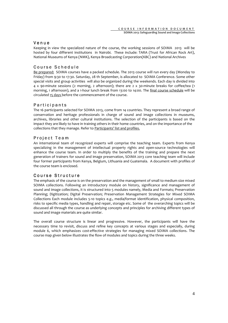#### $V$  e n  $u$  e

Keeping in view the specialized nature of the course, the working sessions of SOIMA 2013 will be hosted by four different institutions in Nairobi. These include: TARA (Trust for African Rock Art), National Museums of Kenya (NMK), Kenya Broadcasting Corporation(KBC) and National Archives

# Course Schedule

Be prepared: SOIMA courses have a packed schedule. The 2013 course will run every day (Monday to Friday) from 9:30 to 17:30. Saturday, 28 th September, is allocated to SOIMA Conference. Some other special visits and group activities will also be organized during the weekends. Each day is divided into 4 x 90-minute sessions (2 morning, 2 afternoon); there are 2 x 30-minute breaks for coffee/tea (1 morning, 1 afternoon), and a 1-hour lunch break from 13:00 to 14:00. The final course schedule will be circulated 15 days before the commencement of the course.

# **Participants**

The 16 participants selected for SOIMA 2013, come from 14 countries. They represent a broad range of conservation and heritage professionals in charge of sound and image collections in museums, archives, libraries and other cultural institutions. The selection of the participants is based on the impact they are likely to have in training others in their home countries, and on the importance of the collections that they manage. Refer to Participants' list and profiles.

# Project Team

An international team of recognized experts will comprise the teaching team. Experts from Kenya specializing in the management of intellectual property rights and open-source technologies will enhance the course team. In order to multiply the benefits of the training and prepare the next generation of trainers for sound and image preservation, SOIMA 2013 core teaching team will include four former participants from Kenya, Belgium, Lithuania and Guatemala. A document with profiles of the course team is enclosed.

#### Course Structure

The emphasis of the course is on the preservation and the management of small to medium size mixed SOIMA collections. Following an introductory module on history, significance and management of sound and image collections, it is structured into 5 modules namely, Media and Formats; Preservation Planning; Digitization; Digital Preservation; Preservation Management Strategies for Mixed SOIMA Collections Each module includes 5-10 topics e.g., media/format identification, physical composition, risks to specific media types, handling and repair, storage etc. Some of the overarching topics will be discussed all through the course as underlying concepts and principles for archiving different types of sound and image materials are quite similar.

The overall course structure is linear and progressive. However, the participants will have the necessary time to revisit, discuss and refine key concepts at various stages and especially, during module 6, which emphasizes cost-effective strategies for managing mixed SOIMA collections. The course map given below illustrates the flow of modules and topics during the three weeks.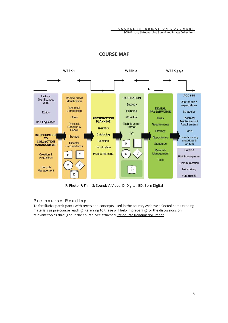**SOIMA 2013: Safeguarding Sound and Image Collections**



# **COURSE MAP**

P: Photo; F: Film; S: Sound; V: Video; D: Digital; BD: Born Digital

# Pre-course Reading

To familiarize participants with terms and concepts used in the course, we have selected some reading materials as pre-course reading. Referring to these will help in preparing for the discussions on relevant topics throughout the course. See attached Pre-course Reading document.